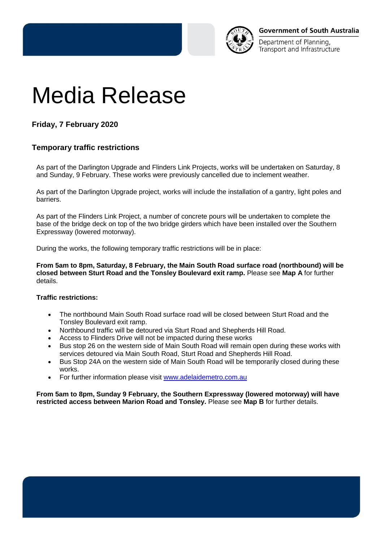

Department of Planning. Transport and Infrastructure

# Media Release

## **Friday, 7 February 2020**

### **Temporary traffic restrictions**

As part of the Darlington Upgrade and Flinders Link Projects, works will be undertaken on Saturday, 8 and Sunday, 9 February. These works were previously cancelled due to inclement weather.

As part of the Darlington Upgrade project, works will include the installation of a gantry, light poles and barriers.

As part of the Flinders Link Project, a number of concrete pours will be undertaken to complete the base of the bridge deck on top of the two bridge girders which have been installed over the Southern Expressway (lowered motorway).

During the works, the following temporary traffic restrictions will be in place:

**From 5am to 8pm, Saturday, 8 February, the Main South Road surface road (northbound) will be closed between Sturt Road and the Tonsley Boulevard exit ramp.** Please see **Map A** for further details.

#### **Traffic restrictions:**

- The northbound Main South Road surface road will be closed between Sturt Road and the Tonsley Boulevard exit ramp.
- Northbound traffic will be detoured via Sturt Road and Shepherds Hill Road.
- Access to Flinders Drive will not be impacted during these works
- Bus stop 26 on the western side of Main South Road will remain open during these works with services detoured via Main South Road, Sturt Road and Shepherds Hill Road.
- Bus Stop 24A on the western side of Main South Road will be temporarily closed during these works.
- For further information please visit [www.adelaidemetro.com.au](http://www.adelaidemetro.com.au/)

**From 5am to 8pm, Sunday 9 February, the Southern Expressway (lowered motorway) will have restricted access between Marion Road and Tonsley.** Please see **Map B** for further details.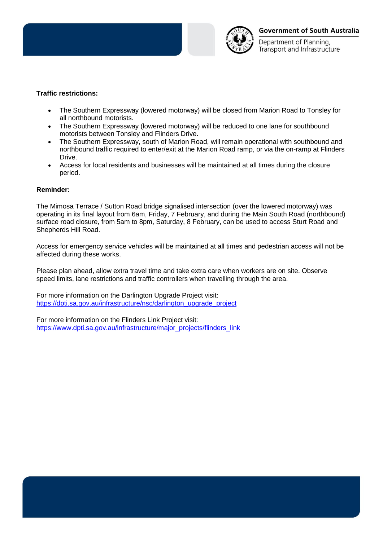

Department of Planning. Transport and Infrastructure

#### **Traffic restrictions:**

- The Southern Expressway (lowered motorway) will be closed from Marion Road to Tonsley for all northbound motorists.
- The Southern Expressway (lowered motorway) will be reduced to one lane for southbound motorists between Tonsley and Flinders Drive.
- The Southern Expressway, south of Marion Road, will remain operational with southbound and northbound traffic required to enter/exit at the Marion Road ramp, or via the on-ramp at Flinders Drive.
- Access for local residents and businesses will be maintained at all times during the closure period.

#### **Reminder:**

The Mimosa Terrace / Sutton Road bridge signalised intersection (over the lowered motorway) was operating in its final layout from 6am, Friday, 7 February, and during the Main South Road (northbound) surface road closure, from 5am to 8pm, Saturday, 8 February, can be used to access Sturt Road and Shepherds Hill Road.

Access for emergency service vehicles will be maintained at all times and pedestrian access will not be affected during these works.

Please plan ahead, allow extra travel time and take extra care when workers are on site. Observe speed limits, lane restrictions and traffic controllers when travelling through the area.

For more information on the Darlington Upgrade Project visit: [https://dpti.sa.gov.au/infrastructure/nsc/darlington\\_upgrade\\_project](https://dpti.sa.gov.au/infrastructure/nsc/darlington_upgrade_project)

For more information on the Flinders Link Project visit: [https://www.dpti.sa.gov.au/infrastructure/major\\_projects/flinders\\_link](https://www.dpti.sa.gov.au/infrastructure/major_projects/flinders_link)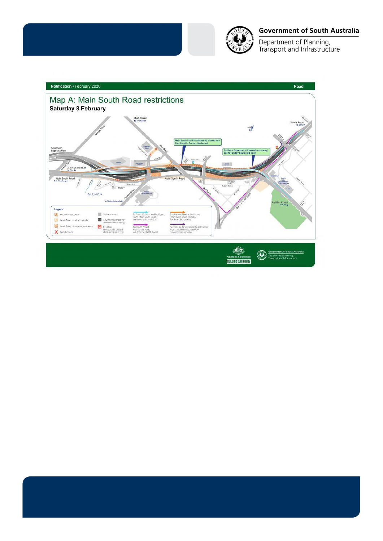

#### **Government of South Australia**

Department of Planning,<br>Transport and Infrastructure